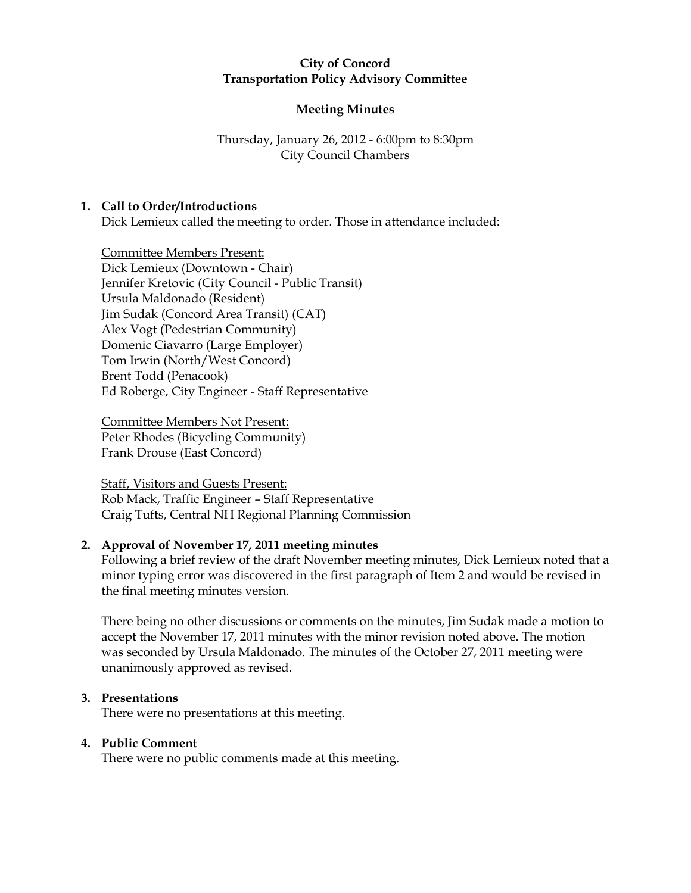### City of Concord Transportation Policy Advisory Committee

# Meeting Minutes

# Thursday, January 26, 2012 - 6:00pm to 8:30pm City Council Chambers

# 1. Call to Order/Introductions

Dick Lemieux called the meeting to order. Those in attendance included:

Committee Members Present: Dick Lemieux (Downtown - Chair) Jennifer Kretovic (City Council - Public Transit) Ursula Maldonado (Resident) Jim Sudak (Concord Area Transit) (CAT) Alex Vogt (Pedestrian Community) Domenic Ciavarro (Large Employer) Tom Irwin (North/West Concord) Brent Todd (Penacook) Ed Roberge, City Engineer - Staff Representative

Committee Members Not Present: Peter Rhodes (Bicycling Community) Frank Drouse (East Concord)

Staff, Visitors and Guests Present: Rob Mack, Traffic Engineer – Staff Representative Craig Tufts, Central NH Regional Planning Commission

# 2. Approval of November 17, 2011 meeting minutes

Following a brief review of the draft November meeting minutes, Dick Lemieux noted that a minor typing error was discovered in the first paragraph of Item 2 and would be revised in the final meeting minutes version.

There being no other discussions or comments on the minutes, Jim Sudak made a motion to accept the November 17, 2011 minutes with the minor revision noted above. The motion was seconded by Ursula Maldonado. The minutes of the October 27, 2011 meeting were unanimously approved as revised.

# 3. Presentations

There were no presentations at this meeting.

# 4. Public Comment

There were no public comments made at this meeting.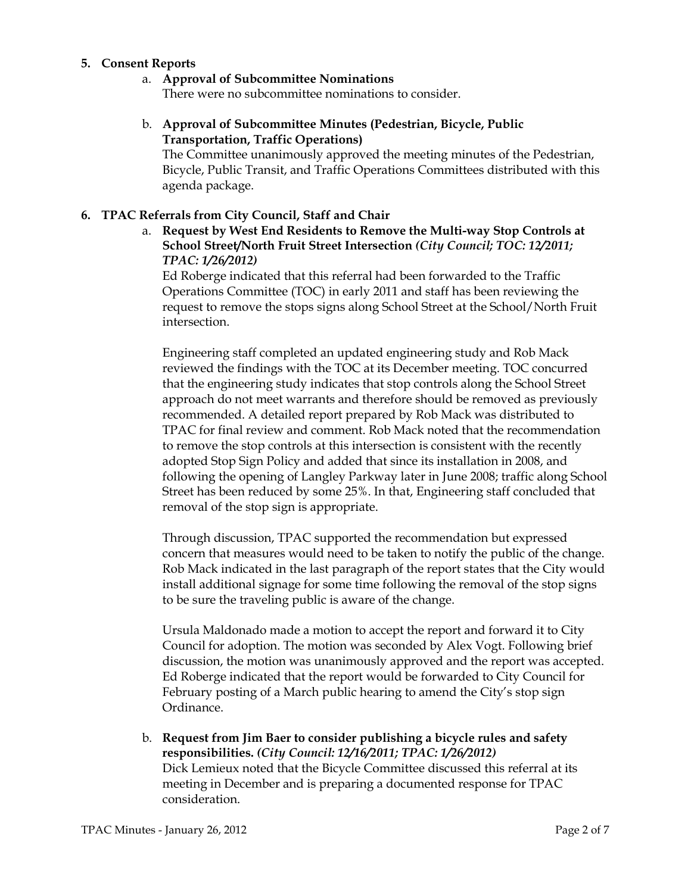#### 5. Consent Reports

# a. Approval of Subcommittee Nominations

There were no subcommittee nominations to consider.

# b. Approval of Subcommittee Minutes (Pedestrian, Bicycle, Public Transportation, Traffic Operations)

The Committee unanimously approved the meeting minutes of the Pedestrian, Bicycle, Public Transit, and Traffic Operations Committees distributed with this agenda package.

# 6. TPAC Referrals from City Council, Staff and Chair

a. Request by West End Residents to Remove the Multi-way Stop Controls at School Street/North Fruit Street Intersection (City Council; TOC: 12/2011; TPAC: 1/26/2012)

Ed Roberge indicated that this referral had been forwarded to the Traffic Operations Committee (TOC) in early 2011 and staff has been reviewing the request to remove the stops signs along School Street at the School/North Fruit intersection.

Engineering staff completed an updated engineering study and Rob Mack reviewed the findings with the TOC at its December meeting. TOC concurred that the engineering study indicates that stop controls along the School Street approach do not meet warrants and therefore should be removed as previously recommended. A detailed report prepared by Rob Mack was distributed to TPAC for final review and comment. Rob Mack noted that the recommendation to remove the stop controls at this intersection is consistent with the recently adopted Stop Sign Policy and added that since its installation in 2008, and following the opening of Langley Parkway later in June 2008; traffic along School Street has been reduced by some 25%. In that, Engineering staff concluded that removal of the stop sign is appropriate.

Through discussion, TPAC supported the recommendation but expressed concern that measures would need to be taken to notify the public of the change. Rob Mack indicated in the last paragraph of the report states that the City would install additional signage for some time following the removal of the stop signs to be sure the traveling public is aware of the change.

Ursula Maldonado made a motion to accept the report and forward it to City Council for adoption. The motion was seconded by Alex Vogt. Following brief discussion, the motion was unanimously approved and the report was accepted. Ed Roberge indicated that the report would be forwarded to City Council for February posting of a March public hearing to amend the City's stop sign Ordinance.

b. Request from Jim Baer to consider publishing a bicycle rules and safety responsibilities. (City Council: 12/16/2011; TPAC: 1/26/2012) Dick Lemieux noted that the Bicycle Committee discussed this referral at its meeting in December and is preparing a documented response for TPAC consideration.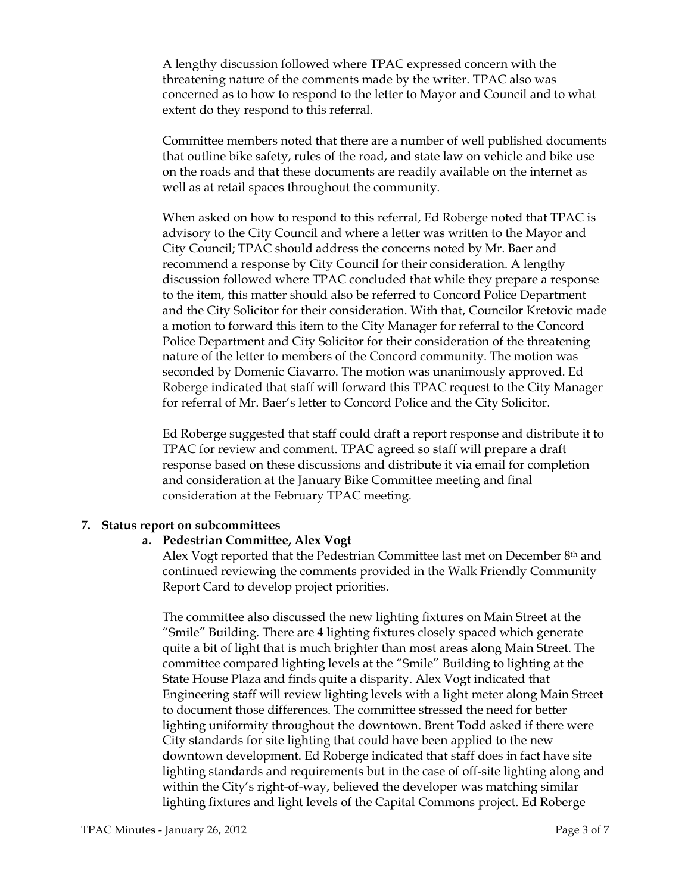A lengthy discussion followed where TPAC expressed concern with the threatening nature of the comments made by the writer. TPAC also was concerned as to how to respond to the letter to Mayor and Council and to what extent do they respond to this referral.

Committee members noted that there are a number of well published documents that outline bike safety, rules of the road, and state law on vehicle and bike use on the roads and that these documents are readily available on the internet as well as at retail spaces throughout the community.

When asked on how to respond to this referral, Ed Roberge noted that TPAC is advisory to the City Council and where a letter was written to the Mayor and City Council; TPAC should address the concerns noted by Mr. Baer and recommend a response by City Council for their consideration. A lengthy discussion followed where TPAC concluded that while they prepare a response to the item, this matter should also be referred to Concord Police Department and the City Solicitor for their consideration. With that, Councilor Kretovic made a motion to forward this item to the City Manager for referral to the Concord Police Department and City Solicitor for their consideration of the threatening nature of the letter to members of the Concord community. The motion was seconded by Domenic Ciavarro. The motion was unanimously approved. Ed Roberge indicated that staff will forward this TPAC request to the City Manager for referral of Mr. Baer's letter to Concord Police and the City Solicitor.

Ed Roberge suggested that staff could draft a report response and distribute it to TPAC for review and comment. TPAC agreed so staff will prepare a draft response based on these discussions and distribute it via email for completion and consideration at the January Bike Committee meeting and final consideration at the February TPAC meeting.

#### 7. Status report on subcommittees

#### a. Pedestrian Committee, Alex Vogt

Alex Vogt reported that the Pedestrian Committee last met on December 8th and continued reviewing the comments provided in the Walk Friendly Community Report Card to develop project priorities.

The committee also discussed the new lighting fixtures on Main Street at the "Smile" Building. There are 4 lighting fixtures closely spaced which generate quite a bit of light that is much brighter than most areas along Main Street. The committee compared lighting levels at the "Smile" Building to lighting at the State House Plaza and finds quite a disparity. Alex Vogt indicated that Engineering staff will review lighting levels with a light meter along Main Street to document those differences. The committee stressed the need for better lighting uniformity throughout the downtown. Brent Todd asked if there were City standards for site lighting that could have been applied to the new downtown development. Ed Roberge indicated that staff does in fact have site lighting standards and requirements but in the case of off-site lighting along and within the City's right-of-way, believed the developer was matching similar lighting fixtures and light levels of the Capital Commons project. Ed Roberge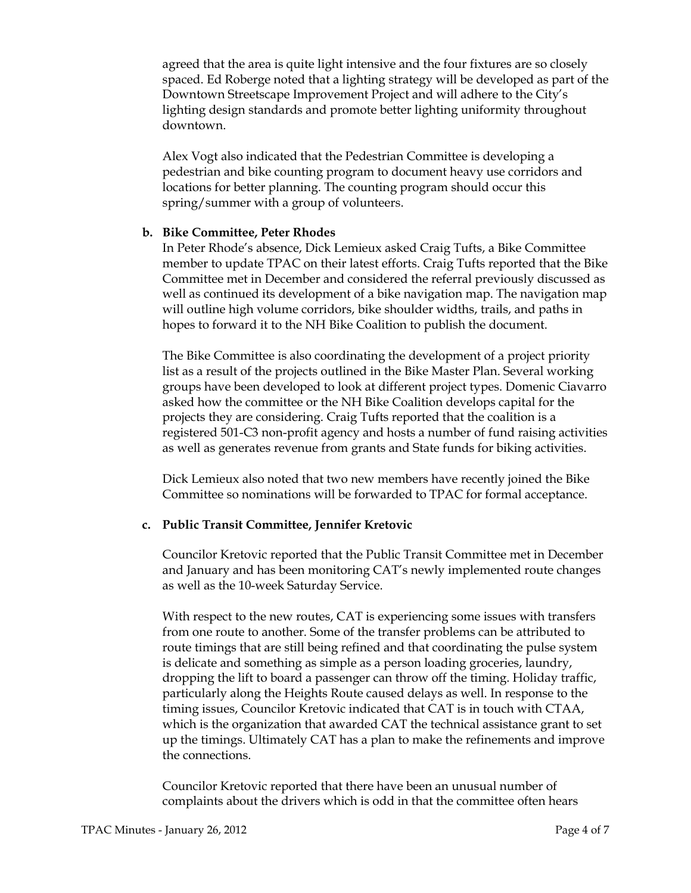agreed that the area is quite light intensive and the four fixtures are so closely spaced. Ed Roberge noted that a lighting strategy will be developed as part of the Downtown Streetscape Improvement Project and will adhere to the City's lighting design standards and promote better lighting uniformity throughout downtown.

Alex Vogt also indicated that the Pedestrian Committee is developing a pedestrian and bike counting program to document heavy use corridors and locations for better planning. The counting program should occur this spring/summer with a group of volunteers.

#### b. Bike Committee, Peter Rhodes

In Peter Rhode's absence, Dick Lemieux asked Craig Tufts, a Bike Committee member to update TPAC on their latest efforts. Craig Tufts reported that the Bike Committee met in December and considered the referral previously discussed as well as continued its development of a bike navigation map. The navigation map will outline high volume corridors, bike shoulder widths, trails, and paths in hopes to forward it to the NH Bike Coalition to publish the document.

The Bike Committee is also coordinating the development of a project priority list as a result of the projects outlined in the Bike Master Plan. Several working groups have been developed to look at different project types. Domenic Ciavarro asked how the committee or the NH Bike Coalition develops capital for the projects they are considering. Craig Tufts reported that the coalition is a registered 501-C3 non-profit agency and hosts a number of fund raising activities as well as generates revenue from grants and State funds for biking activities.

Dick Lemieux also noted that two new members have recently joined the Bike Committee so nominations will be forwarded to TPAC for formal acceptance.

#### c. Public Transit Committee, Jennifer Kretovic

Councilor Kretovic reported that the Public Transit Committee met in December and January and has been monitoring CAT's newly implemented route changes as well as the 10-week Saturday Service.

With respect to the new routes, CAT is experiencing some issues with transfers from one route to another. Some of the transfer problems can be attributed to route timings that are still being refined and that coordinating the pulse system is delicate and something as simple as a person loading groceries, laundry, dropping the lift to board a passenger can throw off the timing. Holiday traffic, particularly along the Heights Route caused delays as well. In response to the timing issues, Councilor Kretovic indicated that CAT is in touch with CTAA, which is the organization that awarded CAT the technical assistance grant to set up the timings. Ultimately CAT has a plan to make the refinements and improve the connections.

Councilor Kretovic reported that there have been an unusual number of complaints about the drivers which is odd in that the committee often hears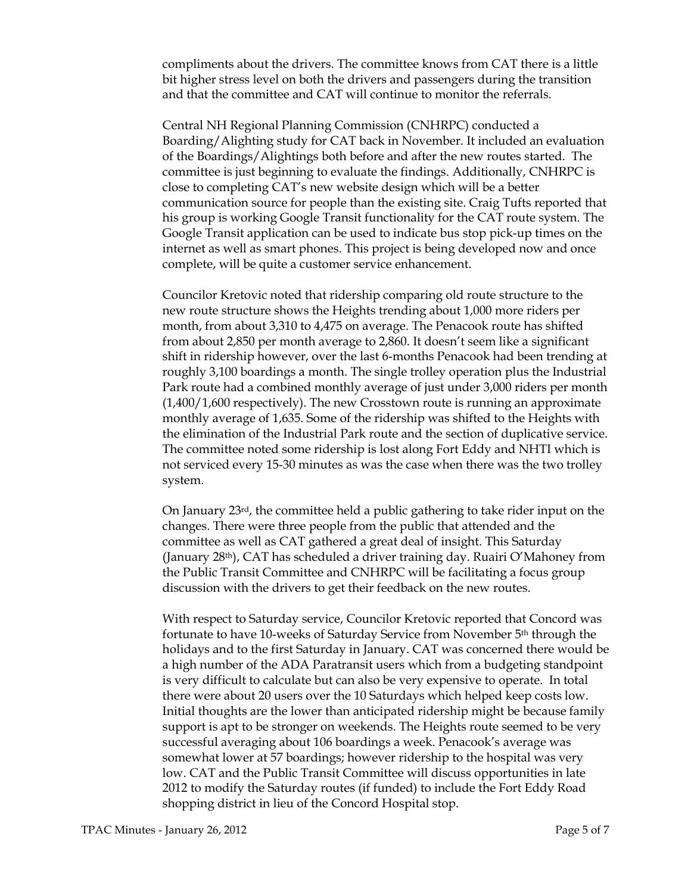compliments about the drivers. The committee knows from CAT there is a little bit higher stress level on both the drivers and passengers during the transition and that the committee and CAT will continue to monitor the referrals.

Central NH Regional Planning Commission (CNHRPC) conducted a Boarding/Alighting study for CAT back in November. It included an evaluation of the Boardings/Alightings both before and after the new routes started. The committee is just beginning to evaluate the findings. Additionally, CNHRPC is close to completing CAT's new website design which will be a better communication source for people than the existing site. Craig Tufts reported that his group is working Google Transit functionality for the CAT route system. The Google Transit application can be used to indicate bus stop pick-up times on the internet as well as smart phones. This project is being developed now and once complete, will be quite a customer service enhancement.

Councilor Kretovic noted that ridership comparing old route structure to the new route structure shows the Heights trending about 1,000 more riders per month, from about 3,310 to 4,475 on average. The Penacook route has shifted from about 2,850 per month average to 2,860. It doesn't seem like a significant shift in ridership however, over the last 6-months Penacook had been trending at roughly 3,100 boardings a month. The single trolley operation plus the Industrial Park route had a combined monthly average of just under 3,000 riders per month (1,400/1,600 respectively). The new Crosstown route is running an approximate monthly average of 1,635. Some of the ridership was shifted to the Heights with the elimination of the Industrial Park route and the section of duplicative service. The committee noted some ridership is lost along Fort Eddy and NHTI which is not serviced every 15-30 minutes as was the case when there was the two trolley system.

On January 23rd, the committee held a public gathering to take rider input on the changes. There were three people from the public that attended and the committee as well as CAT gathered a great deal of insight. This Saturday (January 28th), CAT has scheduled a driver training day. Ruairi O'Mahoney from the Public Transit Committee and CNHRPC will be facilitating a focus group discussion with the drivers to get their feedback on the new routes.

With respect to Saturday service, Councilor Kretovic reported that Concord was fortunate to have 10-weeks of Saturday Service from November 5th through the holidays and to the first Saturday in January. CAT was concerned there would be a high number of the ADA Paratransit users which from a budgeting standpoint is very difficult to calculate but can also be very expensive to operate. In total there were about 20 users over the 10 Saturdays which helped keep costs low. Initial thoughts are the lower than anticipated ridership might be because family support is apt to be stronger on weekends. The Heights route seemed to be very successful averaging about 106 boardings a week. Penacook's average was somewhat lower at 57 boardings; however ridership to the hospital was very low. CAT and the Public Transit Committee will discuss opportunities in late 2012 to modify the Saturday routes (if funded) to include the Fort Eddy Road shopping district in lieu of the Concord Hospital stop.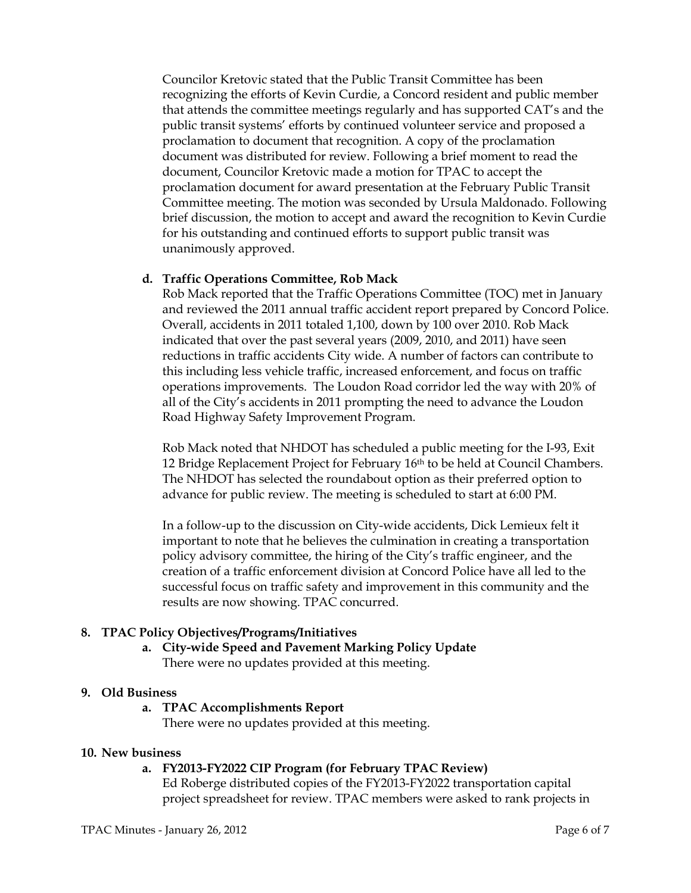Councilor Kretovic stated that the Public Transit Committee has been recognizing the efforts of Kevin Curdie, a Concord resident and public member that attends the committee meetings regularly and has supported CAT's and the public transit systems' efforts by continued volunteer service and proposed a proclamation to document that recognition. A copy of the proclamation document was distributed for review. Following a brief moment to read the document, Councilor Kretovic made a motion for TPAC to accept the proclamation document for award presentation at the February Public Transit Committee meeting. The motion was seconded by Ursula Maldonado. Following brief discussion, the motion to accept and award the recognition to Kevin Curdie for his outstanding and continued efforts to support public transit was unanimously approved.

# d. Traffic Operations Committee, Rob Mack

Rob Mack reported that the Traffic Operations Committee (TOC) met in January and reviewed the 2011 annual traffic accident report prepared by Concord Police. Overall, accidents in 2011 totaled 1,100, down by 100 over 2010. Rob Mack indicated that over the past several years (2009, 2010, and 2011) have seen reductions in traffic accidents City wide. A number of factors can contribute to this including less vehicle traffic, increased enforcement, and focus on traffic operations improvements. The Loudon Road corridor led the way with 20% of all of the City's accidents in 2011 prompting the need to advance the Loudon Road Highway Safety Improvement Program.

Rob Mack noted that NHDOT has scheduled a public meeting for the I-93, Exit 12 Bridge Replacement Project for February 16th to be held at Council Chambers. The NHDOT has selected the roundabout option as their preferred option to advance for public review. The meeting is scheduled to start at 6:00 PM.

In a follow-up to the discussion on City-wide accidents, Dick Lemieux felt it important to note that he believes the culmination in creating a transportation policy advisory committee, the hiring of the City's traffic engineer, and the creation of a traffic enforcement division at Concord Police have all led to the successful focus on traffic safety and improvement in this community and the results are now showing. TPAC concurred.

# 8. TPAC Policy Objectives/Programs/Initiatives

a. City-wide Speed and Pavement Marking Policy Update There were no updates provided at this meeting.

#### 9. Old Business

#### a. TPAC Accomplishments Report

There were no updates provided at this meeting.

#### 10. New business

#### a. FY2013-FY2022 CIP Program (for February TPAC Review)

Ed Roberge distributed copies of the FY2013-FY2022 transportation capital project spreadsheet for review. TPAC members were asked to rank projects in